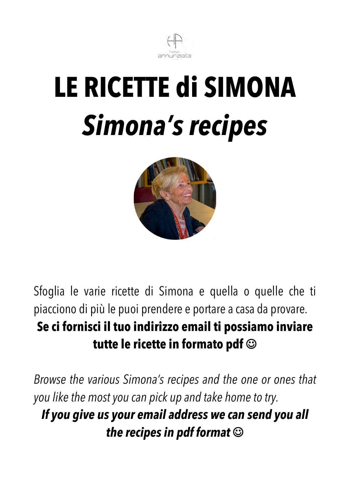



Sfoglia le varie ricette di Simona e quella o quelle che ti piacciono di più le puoi prendere e portare a casa da provare. **Se ci fornisci il tuo indirizzo email ti possiamo inviare**  tutte le ricette in formato pdf  $\odot$ 

*Browse the various Simona's recipes and the one or ones that you like the most you can pick up and take home to try. If you give us your email address we can send you all the recipes in pdf format*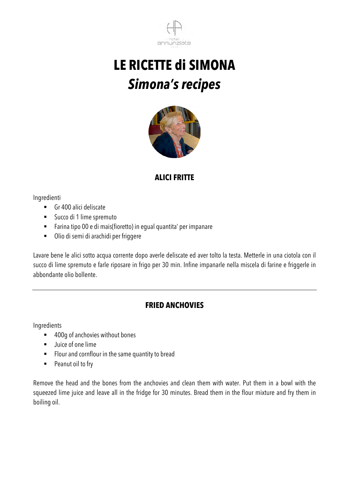



#### **ALICI FRITTE**

Ingredienti

- Gr 400 alici deliscate
- Succo di 1 lime spremuto
- ! Farina tipo 00 e di mais(fioretto) in egual quantita' per impanare
- ! Olio di semi di arachidi per friggere

Lavare bene le alici sotto acqua corrente dopo averle deliscate ed aver tolto la testa. Metterle in una ciotola con il succo di lime spremuto e farle riposare in frigo per 30 min. Infine impanarle nella miscela di farine e friggerle in abbondante olio bollente.

#### **FRIED ANCHOVIES**

Ingredients

- 400g of anchovies without bones
- **.** Juice of one lime
- ! Flour and cornflour in the same quantity to bread
- Peanut oil to fry

Remove the head and the bones from the anchovies and clean them with water. Put them in a bowl with the squeezed lime juice and leave all in the fridge for 30 minutes. Bread them in the flour mixture and fry them in boiling oil.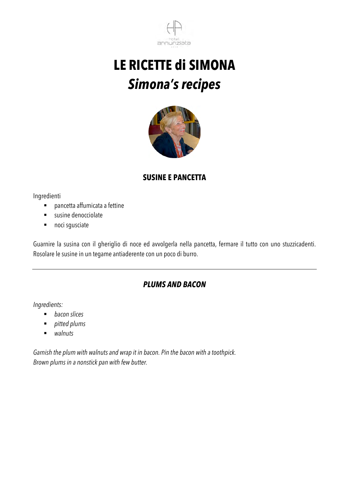



#### **SUSINE E PANCETTA**

Ingredienti

- ! pancetta affumicata a fettine
- **EXECUTE:** susine denocciolate
- noci sgusciate

Guarnire la susina con il gheriglio di noce ed avvolgerla nella pancetta, fermare il tutto con uno stuzzicadenti. Rosolare le susine in un tegame antiaderente con un poco di burro.

#### *PLUMS AND BACON*

*Ingredients:*

- ! *bacon slices*
- ! *pitted plums*
- ! *walnuts*

*Garnish the plum with walnuts and wrap it in bacon. Pin the bacon with a toothpick. Brown plums in a nonstick pan with few butter.*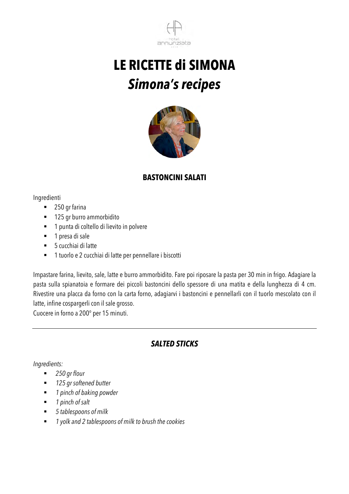



#### **BASTONCINI SALATI**

#### Ingredienti

- 250 gr farina
- **125 gr burro ammorbidito**
- ! 1 punta di coltello di lievito in polvere
- **1** presa di sale
- 5 cucchiai di latte
- ! 1 tuorlo e 2 cucchiai di latte per pennellare i biscotti

Impastare farina, lievito, sale, latte e burro ammorbidito. Fare poi riposare la pasta per 30 min in frigo. Adagiare la pasta sulla spianatoia e formare dei piccoli bastoncini dello spessore di una matita e della lunghezza di 4 cm. Rivestire una placca da forno con la carta forno, adagiarvi i bastoncini e pennellarli con il tuorlo mescolato con il latte, infine cospargerli con il sale grosso.

Cuocere in forno a 200° per 15 minuti.

### *SALTED STICKS*

#### *Ingredients:*

- ! *250 gr flour*
- ! *125 gr softened butter*
- ! *1 pinch of baking powder*
- ! *1 pinch of salt*
- ! *5 tablespoons of milk*
- ! *1 yolk and 2 tablespoons of milk to brush the cookies*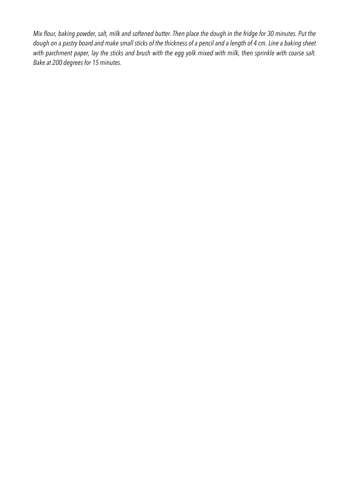*Mix flour, baking powder, salt, milk and softened butter. Then place the dough in the fridge for 30 minutes. Put the dough on a pastry board and make small sticks of the thickness of a pencil and a length of 4 cm. Line a baking sheet with parchment paper, lay the sticks and brush with the egg yolk mixed with milk, then sprinkle with coarse salt. Bake at 200 degrees for 15 minutes.*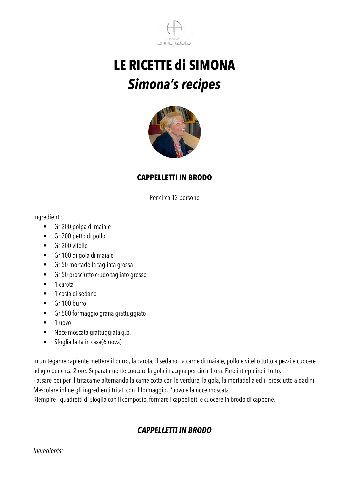



#### **CAPPELLETTI IN BRODO**

Per circa 12 persone

Ingredienti:

- ! Gr 200 polpa di maiale
- ! Gr 200 petto di pollo
- ! Gr 200 vitello
- ! Gr 100 di gola di maiale
- ! Gr 50 mortadella tagliata grossa
- ! Gr 50 prosciutto crudo tagliato grosso
- 1 carota
- $\blacksquare$  1 costa di sedano
- Gr 100 burro
- ! Gr 500 formaggio grana grattuggiato
- $\blacksquare$  1 uovo
- ! Noce moscata grattuggiata q.b.
- ! Sfoglia fatta in casa(6 uova)

In un tegame capiente mettere il burro, la carota, il sedano, la carne di maiale, pollo e vitello tutto a pezzi e cuocere adagio per circa 2 ore. Separatamente cuocere la gola in acqua per circa 1 ora. Fare intiepidire il tutto.

Passare poi per il tritacarne alternando la carne cotta con le verdure, la gola, la mortadella ed il prosciutto a dadini. Mescolare infine gli ingredienti tritati con il formaggio, l'uovo e la noce moscata.

Riempire i quadretti di sfoglia con il composto, formare i cappelletti e cuocere in brodo di cappone.

### *CAPPELLETTI IN BRODO*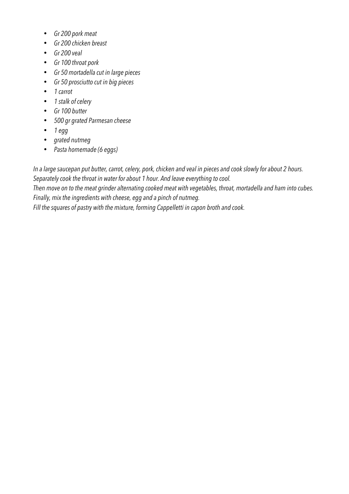- *Gr 200 pork meat*
- *Gr 200 chicken breast*
- *Gr 200 veal*
- *Gr 100 throat pork*
- *Gr 50 mortadella cut in large pieces*
- *Gr 50 prosciutto cut in big pieces*
- *1 carrot*
- *1 stalk of celery*
- *Gr 100 butter*
- *500 gr grated Parmesan cheese*
- *1 egg*
- *grated nutmeg*
- *Pasta homemade (6 eggs)*

*In a large saucepan put butter, carrot, celery, pork, chicken and veal in pieces and cook slowly for about 2 hours. Separately cook the throat in water for about 1 hour. And leave everything to cool.*

*Then move on to the meat grinder alternating cooked meat with vegetables, throat, mortadella and ham into cubes. Finally, mix the ingredients with cheese, egg and a pinch of nutmeg.*

*Fill the squares of pastry with the mixture, forming Cappelletti in capon broth and cook.*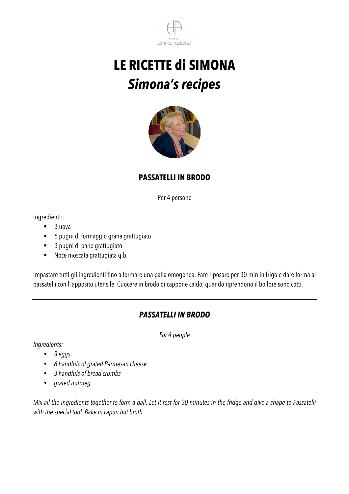



#### **PASSATELLI IN BRODO**

Per 4 persone

Ingredienti:

- $\blacksquare$  3 uova
- ! 6 pugni di formaggio grana grattugiato
- ! 3 pugni di pane grattugiato
- ! Noce moscata grattugiata q.b.

Impastare tutti gli ingredienti fino a formare una palla omogenea. Fare riposare per 30 min in frigo e dare forma ai passatelli con l' apposito utensile. Cuocere in brodo di cappone caldo, quando riprendono il bollore sono cotti.

#### *PASSATELLI IN BRODO*

*For 4 people*

*Ingredients:*

- *3 eggs*
- *6 handfuls of grated Parmesan cheese*
- *3 handfuls of bread crumbs*
- *grated nutmeg*

*Mix all the ingredients together to form a ball. Let it rest for 30 minutes in the fridge and give a shape to Passatelli with the special tool. Bake in capon hot broth.*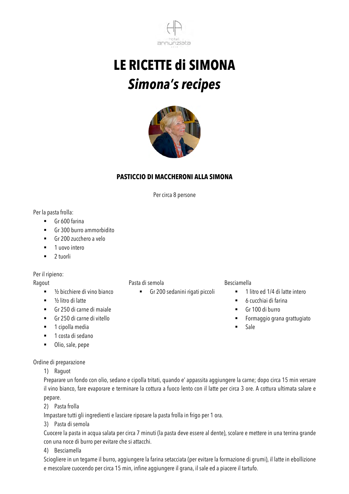



#### **PASTICCIO DI MACCHERONI ALLA SIMONA**

Per circa 8 persone

Per la pasta frolla:

- ! Gr 600 farina
- ! Gr 300 burro ammorbidito
- Gr 200 zucchero a velo
- **-** 1 uovo intero
- $\blacksquare$  2 tuorli

#### Per il ripieno:

#### Ragout

- $\blacksquare$  1/2 bicchiere di vino bianco
- $\blacksquare$  1/2 litro di latte
- ! Gr 250 di carne di maiale
- ! Gr 250 di carne di vitello
- **.** 1 cipolla media
- $\blacksquare$  1 costa di sedano
- ! Olio, sale, pepe

Ordine di preparazione

#### 1) Raguot

Preparare un fondo con olio, sedano e cipolla tritati, quando e' appassita aggiungere la carne; dopo circa 15 min versare il vino bianco, fare evaporare e terminare la cottura a fuoco lento con il latte per circa 3 ore. A cottura ultimata salare e pepare.

2) Pasta frolla

Impastare tutti gli ingredienti e lasciare riposare la pasta frolla in frigo per 1 ora.

3) Pasta di semola

Cuocere la pasta in acqua salata per circa 7 minuti (la pasta deve essere al dente), scolare e mettere in una terrina grande con una noce di burro per evitare che si attacchi.

4) Besciamella

Sciogliere in un tegame il burro, aggiungere la farina setacciata (per evitare la formazione di grumi), il latte in ebollizione e mescolare cuocendo per circa 15 min, infine aggiungere il grana, il sale ed a piacere il tartufo.

#### Pasta di semola

! Gr 200 sedanini rigati piccoli

#### Besciamella

- **.** 1 litro ed 1/4 di latte intero
- $\blacksquare$  6 cucchiai di farina
- Gr 100 di burro
- ! Formaggio grana grattugiato
- ! Sale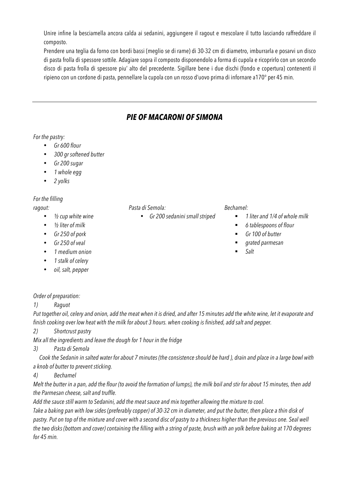Unire infine la besciamella ancora calda ai sedanini, aggiungere il ragout e mescolare il tutto lasciando raffreddare il composto.

Prendere una teglia da forno con bordi bassi (meglio se di rame) di 30-32 cm di diametro, imburrarla e posarvi un disco di pasta frolla di spessore sottile. Adagiare sopra il composto disponendolo a forma di cupola e ricoprirlo con un secondo disco di pasta frolla di spessore piu' alto del precedente. Sigillare bene i due dischi (fondo e copertura) contenenti il ripieno con un cordone di pasta, pennellare la cupola con un rosso d'uovo prima di infornare a170° per 45 min.

### *PIE OF MACARONI OF SIMONA*

#### *For the pastry:*

- *Gr 600 flour*
- *300 gr softened butter*
- *Gr 200 sugar*
- *1 whole egg*
- *2 yolks*

#### *For the filling*

*ragout:*

- *½ cup white wine*
- *½ liter of milk*
- *Gr 250 of pork*
- *Gr 250 of veal*
- *1 medium onion*
- *1 stalk of celery*
- *oil, salt, pepper*

#### *Pasta di Semola:*

• *Gr 200 sedanini small striped*

#### *Bechamel:*

- ! *1 liter and 1/4 of whole milk*
- ! *6 tablespoons of flour*
- ! *Gr 100 of butter*
- ! *grated parmesan*
- ! *Salt*

#### *Order of preparation:*

*1) Raguot*

*Put together oil, celery and onion, add the meat when it is dried, and after 15 minutes add the white wine, let it evaporate and finish cooking over low heat with the milk for about 3 hours. when cooking is finished, add salt and pepper.*

*2) Shortcrust pastry*

*Mix all the ingredients and leave the dough for 1 hour in the fridge* 

*3) Pasta di Semola*

 *Cook the Sedanin in salted water for about 7 minutes (the consistence should be hard ), drain and place in a large bowl with a knob of butter to prevent sticking.*

#### *4) Bechamel*

*Melt the butter in a pan, add the flour (to avoid the formation of lumps), the milk boil and stir for about 15 minutes, then add the Parmesan cheese, salt and truffle.*

*Add the sauce still warm to Sedanini, add the meat sauce and mix together allowing the mixture to cool.* 

*Take a baking pan with low sides (preferably copper) of 30-32 cm in diameter, and put the butter, then place a thin disk of*  pastry. Put on top of the mixture and cover with a second disc of pastry to a thickness higher than the previous one. Seal well *the two disks (bottom and cover) containing the filling with a string of paste, brush with an yolk before baking at 170 degrees for 45 min.*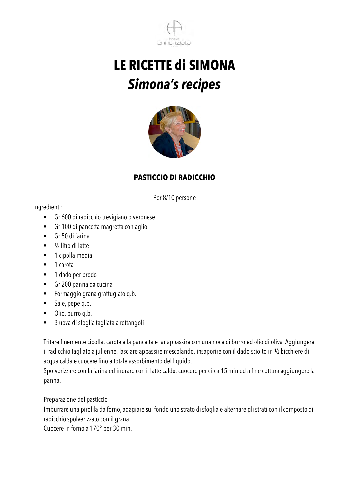



### **PASTICCIO DI RADICCHIO**

Per 8/10 persone

Ingredienti:

- ! Gr 600 di radicchio trevigiano o veronese
- ! Gr 100 di pancetta magretta con aglio
- ! Gr 50 di farina
- $\blacksquare$  1/2 litro di latte
- **1** cipolla media
- 1 carota
- 1 dado per brodo
- ! Gr 200 panna da cucina
- ! Formaggio grana grattugiato q.b.
- **Sale**, pepe q.b.
- **.** Olio, burro q.b.
- 3 uova di sfoglia tagliata a rettangoli

Tritare finemente cipolla, carota e la pancetta e far appassire con una noce di burro ed olio di oliva. Aggiungere il radicchio tagliato a julienne, lasciare appassire mescolando, insaporire con il dado sciolto in ½ bicchiere di acqua calda e cuocere fino a totale assorbimento del liquido.

Spolverizzare con la farina ed irrorare con il latte caldo, cuocere per circa 15 min ed a fine cottura aggiungere la panna.

Preparazione del pasticcio

Imburrare una pirofila da forno, adagiare sul fondo uno strato di sfoglia e alternare gli strati con il composto di radicchio spolverizzato con il grana.

Cuocere in forno a 170° per 30 min.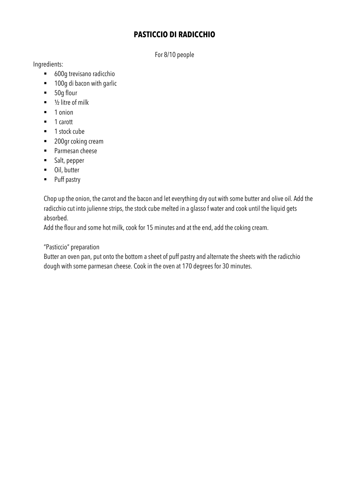#### **PASTICCIO DI RADICCHIO**

For 8/10 people

Ingredients:

- 600g trevisano radicchio
- **100g di bacon with garlic**
- 50g flour
- $\blacksquare$  1/2 litre of milk
- 1 onion
- 1 carott
- 1 stock cube
- 200gr coking cream
- ! Parmesan cheese
- ! Salt, pepper
- **.** Oil, butter
- **Puff pastry**

Chop up the onion, the carrot and the bacon and let everything dry out with some butter and olive oil. Add the radicchio cut into julienne strips, the stock cube melted in a glasso f water and cook until the liquid gets absorbed.

Add the flour and some hot milk, cook for 15 minutes and at the end, add the coking cream.

"Pasticcio" preparation

Butter an oven pan, put onto the bottom a sheet of puff pastry and alternate the sheets with the radicchio dough with some parmesan cheese. Cook in the oven at 170 degrees for 30 minutes.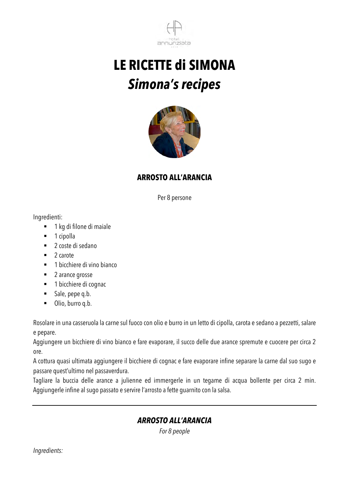



#### **ARROSTO ALL'ARANCIA**

Per 8 persone

Ingredienti:

- **1 kg di filone di maiale**
- 1 cipolla
- 2 coste di sedano
- $\blacksquare$  2 carote
- **.** 1 bicchiere di vino bianco
- 2 arance grosse
- 1 bicchiere di cognac
- ! Sale, pepe q.b.
- **.** Olio, burro q.b.

Rosolare in una casseruola la carne sul fuoco con olio e burro in un letto di cipolla, carota e sedano a pezzetti, salare e pepare.

Aggiungere un bicchiere di vino bianco e fare evaporare, il succo delle due arance spremute e cuocere per circa 2 ore.

A cottura quasi ultimata aggiungere il bicchiere di cognac e fare evaporare infine separare la carne dal suo sugo e passare quest'ultimo nel passaverdura.

Tagliare la buccia delle arance a julienne ed immergerle in un tegame di acqua bollente per circa 2 min. Aggiungerle infine al sugo passato e servire l'arrosto a fette guarnito con la salsa.

#### *ARROSTO ALL'ARANCIA*

*For 8 people*

*Ingredients:*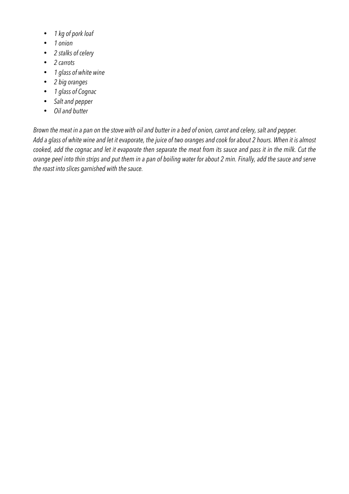- *1 kg of pork loaf*
- *1 onion*
- *2 stalks of celery*
- *2 carrots*
- *1 glass of white wine*
- *2 big oranges*
- *1 glass of Cognac*
- *Salt and pepper*
- *Oil and butter*

*Brown the meat in a pan on the stove with oil and butter in a bed of onion, carrot and celery, salt and pepper. Add a glass of white wine and let it evaporate, the juice of two oranges and cook for about 2 hours. When it is almost cooked, add the cognac and let it evaporate then separate the meat from its sauce and pass it in the milk. Cut the orange peel into thin strips and put them in a pan of boiling water for about 2 min. Finally, add the sauce and serve the roast into slices garnished with the sauce.*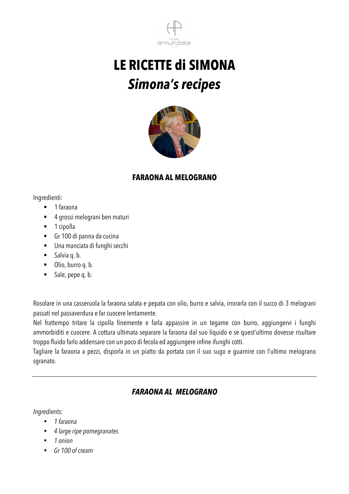



#### **FARAONA AL MELOGRANO**

Ingredienti:

- 1 faraona
- ! 4 grossi melograni ben maturi
- 1 cipolla
- ! Gr 100 di panna da cucina
- ! Una manciata di funghi secchi
- $\blacksquare$  Salvia q. b.
- $\blacksquare$  Olio, burro q. b.
- Sale, pepe q. b.

Rosolare in una casseruola la faraona salata e pepata con olio, burro e salvia, irrorarla con il succo di 3 melograni passati nel passaverdura e far cuocere lentamente.

Nel frattempo tritare la cipolla finemente e farla appassire in un tegame con burro, aggiungervi i funghi ammorbiditi e cuocere. A cottura ultimata separare la faraona dal suo liquido e se quest'ultimo dovesse risultare troppo fluido farlo addensare con un poco di fecola ed aggiungere infine ifunghi cotti.

Tagliare la faraona a pezzi, disporla in un piatto da portata con il suo sugo e guarnire con l'ultimo melograno sgranato.

#### *FARAONA AL MELOGRANO*

*Ingredients:*

- *1 faraona*
- *4 large ripe pomegranates*
- *1 onion*
- *Gr 100 of cream*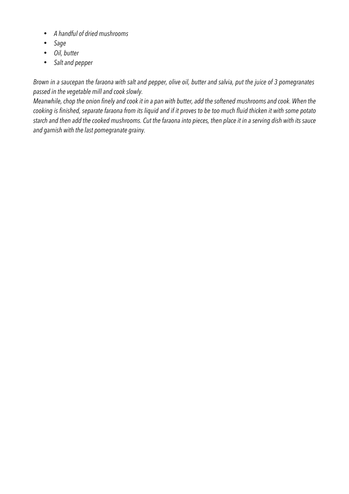- *A handful of dried mushrooms*
- *Sage*
- *Oil, butter*
- *Salt and pepper*

*Brown in a saucepan the faraona with salt and pepper, olive oil, butter and salvia, put the juice of 3 pomegranates passed in the vegetable mill and cook slowly.*

*Meanwhile, chop the onion finely and cook it in a pan with butter, add the softened mushrooms and cook. When the cooking is finished, separate faraona from its liquid and if it proves to be too much fluid thicken it with some potato starch and then add the cooked mushrooms. Cut the faraona into pieces, then place it in a serving dish with its sauce and garnish with the last pomegranate grainy.*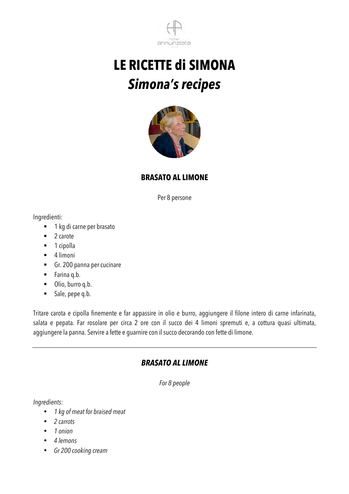



#### **BRASATO AL LIMONE**

Per 8 persone

Ingredienti:

- 1 kg di carne per brasato
- 2 carote
- 1 cipolla
- $-4$  limoni
- ! Gr. 200 panna per cucinare
- ! Farina q.b.
- **.** Olio, burro q.b.
- ! Sale, pepe q.b.

Tritare carota e cipolla finemente e far appassire in olio e burro, aggiungere il filone intero di carne infarinata, salata e pepata. Far rosolare per circa 2 ore con il succo dei 4 limoni spremuti e, a cottura quasi ultimata, aggiungere la panna. Servire a fette e guarnire con il succo decorando con fette di limone.

#### *BRASATO AL LIMONE*

*For 8 people*

*Ingredients:*

- *1 kg of meat for braised meat*
- *2 carrots*
- *1 onion*
- *4 lemons*
- *Gr 200 cooking cream*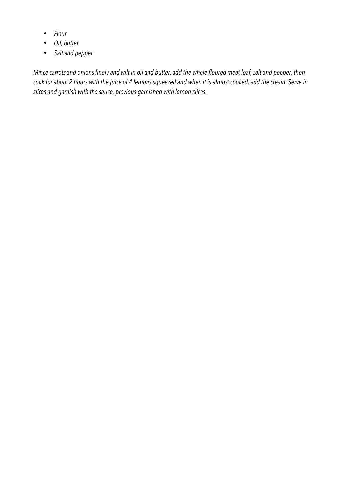- *Flour*
- *Oil, butter*
- *Salt and pepper*

*Mince carrots and onions finely and wilt in oil and butter, add the whole floured meat loaf, salt and pepper, then cook for about 2 hours with the juice of 4 lemons squeezed and when it is almost cooked, add the cream. Serve in slices and garnish with the sauce, previous garnished with lemon slices.*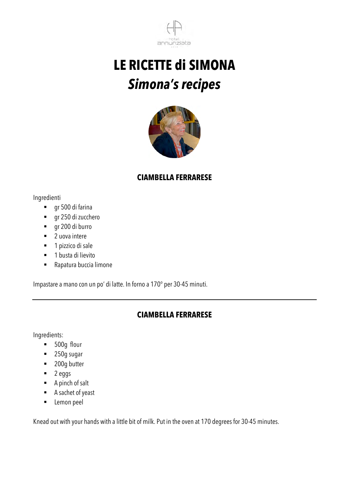



#### **CIAMBELLA FERRARESE**

#### Ingredienti

- ! gr 500 di farina
- ! gr 250 di zucchero
- ! gr 200 di burro
- 2 uova intere
- 1 pizzico di sale
- **1** busta di lievito
- Rapatura buccia limone

Impastare a mano con un po' di latte. In forno a 170° per 30-45 minuti.

#### **CIAMBELLA FERRARESE**

Ingredients:

- **500g flour**
- 250g sugar
- **200g butter**
- $\blacksquare$  2 eggs
- $\blacksquare$  A pinch of salt
- ! A sachet of yeast
- **EXECUTE:** Lemon peel

Knead out with your hands with a little bit of milk. Put in the oven at 170 degrees for 30-45 minutes.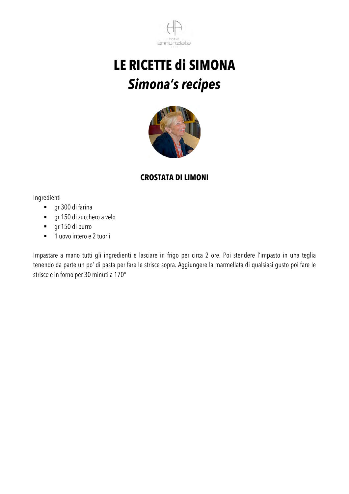



#### **CROSTATA DI LIMONI**

Ingredienti

- ! gr 300 di farina
- ! gr 150 di zucchero a velo
- ! gr 150 di burro
- 1 uovo intero e 2 tuorli

Impastare a mano tutti gli ingredienti e lasciare in frigo per circa 2 ore. Poi stendere l'impasto in una teglia tenendo da parte un po' di pasta per fare le strisce sopra. Aggiungere la marmellata di qualsiasi gusto poi fare le strisce e in forno per 30 minuti a 170°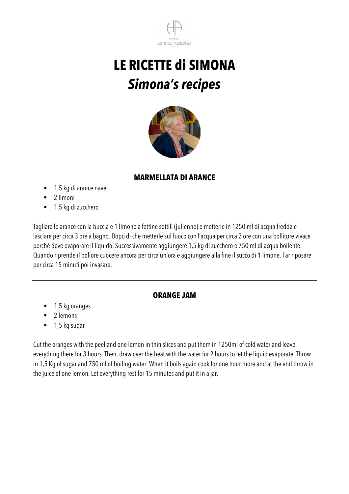



#### **MARMELLATA DI ARANCE**

- 1,5 kg di arance navel
- $\blacksquare$  2 limoni
- 1,5 kg di zucchero

Tagliare le arance con la buccia e 1 limone a fettine sottili (julienne) e metterle in 1250 ml di acqua fredda e lasciare per circa 3 ore a bagno. Dopo di che metterle sul fuoco con l'acqua per circa 2 ore con una bolliture vivace perché deve evaporare il liquido. Successivamente aggiungere 1,5 kg di zucchero e 750 ml di acqua bollente. Quando riprende il bollore cuocere ancora per circa un'ora e aggiungere alla fine il succo di 1 limone. Far riposare per circa 15 minuti poi invasare.

#### **ORANGE JAM**

- $\blacksquare$  1,5 kg oranges
- 2 lemons
- $\blacksquare$  1,5 kg sugar

Cut the oranges with the peel and one lemon in thin slices and put them in 1250ml of cold water and leave everything there for 3 hours. Then, draw over the heat with the water for 2 hours to let the liquid evaporate. Throw in 1,5 Kg of sugar and 750 ml of boiling water. When it boils again cook for one hour more and at the end throw in the juice of one lemon. Let everything rest for 15 minutes and put it in a jar.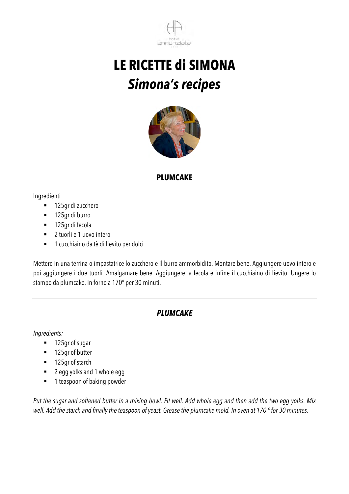



#### **PLUMCAKE**

Ingredienti

- $\blacksquare$  125gr di zucchero
- $\blacksquare$  125gr di burro
- 125gr di fecola
- 2 tuorli e 1 uovo intero
- ! 1 cucchiaino da tè di lievito per dolci

Mettere in una terrina o impastatrice lo zucchero e il burro ammorbidito. Montare bene. Aggiungere uovo intero e poi aggiungere i due tuorli. Amalgamare bene. Aggiungere la fecola e infine il cucchiaino di lievito. Ungere lo stampo da plumcake. In forno a 170° per 30 minuti.

#### *PLUMCAKE*

*Ingredients:*

- 125gr of sugar
- 125gr of butter
- 125gr of starch
- 2 egg yolks and 1 whole egg
- 1 teaspoon of baking powder

*Put the sugar and softened butter in a mixing bowl. Fit well. Add whole egg and then add the two egg yolks. Mix well. Add the starch and finally the teaspoon of yeast. Grease the plumcake mold. In oven at 170 ° for 30 minutes.*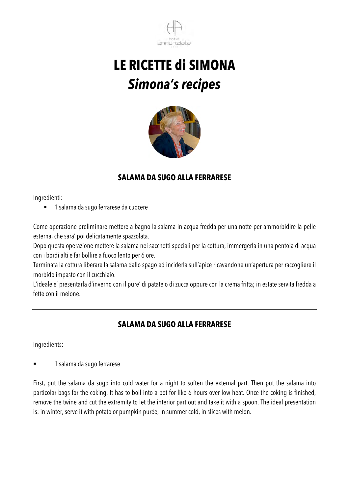



### **SALAMA DA SUGO ALLA FERRARESE**

Ingredienti:

! 1 salama da sugo ferrarese da cuocere

Come operazione preliminare mettere a bagno la salama in acqua fredda per una notte per ammorbidire la pelle esterna, che sara' poi delicatamente spazzolata.

Dopo questa operazione mettere la salama nei sacchetti speciali per la cottura, immergerla in una pentola di acqua con i bordi alti e far bollire a fuoco lento per 6 ore.

Terminata la cottura liberare la salama dallo spago ed inciderla sull'apice ricavandone un'apertura per raccogliere il morbido impasto con il cucchiaio.

L'ideale e' presentarla d'inverno con il pure' di patate o di zucca oppure con la crema fritta; in estate servita fredda a fette con il melone.

#### **SALAMA DA SUGO ALLA FERRARESE**

Ingredients:

1 salama da sugo ferrarese

First, put the salama da sugo into cold water for a night to soften the external part. Then put the salama into particolar bags for the coking. It has to boil into a pot for like 6 hours over low heat. Once the coking is finished, remove the twine and cut the extremity to let the interior part out and take it with a spoon. The ideal presentation is: in winter, serve it with potato or pumpkin purée, in summer cold, in slices with melon.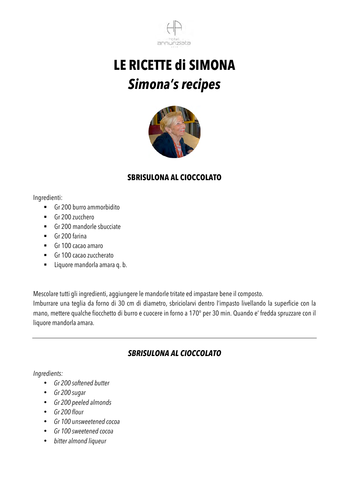



### **SBRISULONA AL CIOCCOLATO**

Ingredienti:

- ! Gr 200 burro ammorbidito
- Gr 200 zucchero
- ! Gr 200 mandorle sbucciate
- $\blacksquare$  Gr 200 farina
- $\blacksquare$  Gr 100 cacao amaro
- ! Gr 100 cacao zuccherato
- ! Liquore mandorla amara q. b.

Mescolare tutti gli ingredienti, aggiungere le mandorle tritate ed impastare bene il composto.

Imburrare una teglia da forno di 30 cm di diametro, sbriciolarvi dentro l'impasto livellando la superficie con la mano, mettere qualche fiocchetto di burro e cuocere in forno a 170° per 30 min. Quando e' fredda spruzzare con il liquore mandorla amara.

### *SBRISULONA AL CIOCCOLATO*

#### *Ingredients:*

- *Gr 200 softened butter*
- *Gr 200 sugar*
- *Gr 200 peeled almonds*
- *Gr 200 flour*
- *Gr 100 unsweetened cocoa*
- *Gr 100 sweetened cocoa*
- *bitter almond liqueur*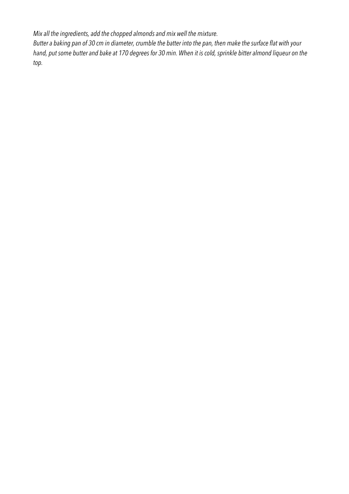*Mix all the ingredients, add the chopped almonds and mix well the mixture. Butter a baking pan of 30 cm in diameter, crumble the batter into the pan, then make the surface flat with your hand, put some butter and bake at 170 degrees for 30 min. When it is cold, sprinkle bitter almond liqueur on the top.*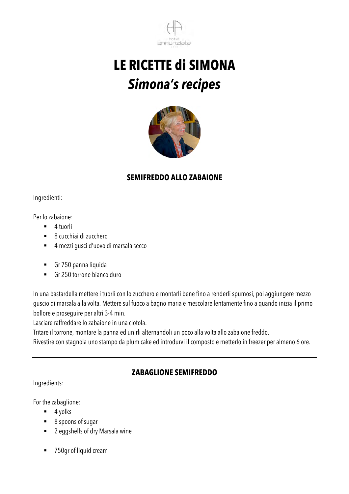



### **SEMIFREDDO ALLO ZABAIONE**

Ingredienti:

Per lo zabaione:

- $\blacksquare$  4 tuorli
- ! 8 cucchiai di zucchero
- ! 4 mezzi gusci d'uovo di marsala secco
- ! Gr 750 panna liquida
- $\blacksquare$  Gr 250 torrone bianco duro

In una bastardella mettere i tuorli con lo zucchero e montarli bene fino a renderli spumosi, poi aggiungere mezzo guscio di marsala alla volta. Mettere sul fuoco a bagno maria e mescolare lentamente fino a quando inizia il primo bollore e proseguire per altri 3-4 min.

Lasciare raffreddare lo zabaione in una ciotola.

Tritare il torrone, montare la panna ed unirli alternandoli un poco alla volta allo zabaione freddo.

Rivestire con stagnola uno stampo da plum cake ed introdurvi il composto e metterlo in freezer per almeno 6 ore.

### **ZABAGLIONE SEMIFREDDO**

Ingredients:

For the zabaglione:

- $\blacksquare$  4 yolks
- 8 spoons of sugar
- 2 eggshells of dry Marsala wine
- 750gr of liquid cream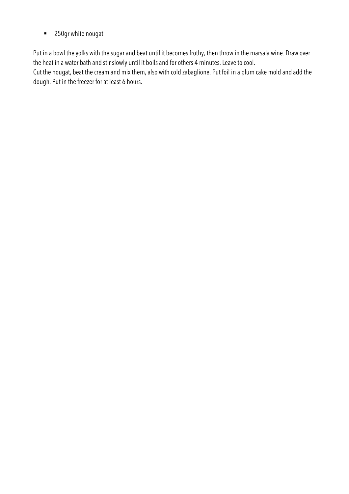■ 250gr white nougat

Put in a bowl the yolks with the sugar and beat until it becomes frothy, then throw in the marsala wine. Draw over the heat in a water bath and stir slowly until it boils and for others 4 minutes. Leave to cool.

Cut the nougat, beat the cream and mix them, also with cold zabaglione. Put foil in a plum cake mold and add the dough. Put in the freezer for at least 6 hours.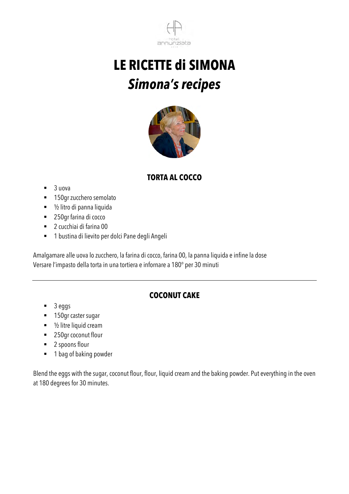



### **TORTA AL COCCO**

- $\blacksquare$  3 uova
- **150gr zucchero semolato**
- 1/2 litro di panna liquida
- 250gr farina di cocco
- ! 2 cucchiai di farina 00
- ! 1 bustina di lievito per dolci Pane degli Angeli

Amalgamare alle uova lo zucchero, la farina di cocco, farina 00, la panna liquida e infine la dose Versare l'impasto della torta in una tortiera e infornare a 180° per 30 minuti

### **COCONUT CAKE**

- $\blacksquare$  3 eggs
- **150gr caster sugar**
- $\blacksquare$  1/2 litre liquid cream
- 250gr coconut flour
- 2 spoons flour
- 1 bag of baking powder

Blend the eggs with the sugar, coconut flour, flour, liquid cream and the baking powder. Put everything in the oven at 180 degrees for 30 minutes.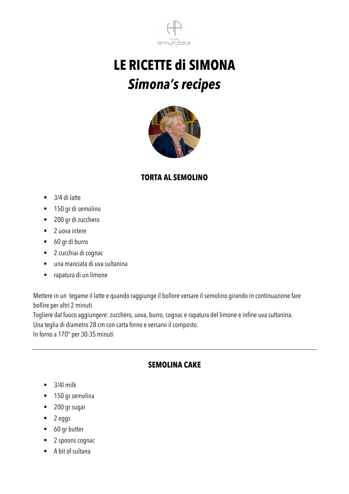



#### **TORTA AL SEMOLINO**

- $\blacksquare$  3/4 di latte
- $\blacksquare$  150 gr di semolino
- 200 gr di zucchero
- 2 uova intere
- ! 60 gr di burro
- 2 cucchiai di cognac
- ! una manciata di uva sultanina
- ! rapatura di un limone

Mettere in un tegame il latte e quando raggiunge il bollore versare il semolino girando in continuazione fare bollire per altri 2 minuti.

Togliere dal fuoco aggiungere: zucchero, uova, burro, cognac e rapatura del limone e infine uva sultanina.

Una teglia di diametro 28 cm con carta forno e versarvi il composto.

In forno a 170° per 30-35 minuti

#### **SEMOLINA CAKE**

- $\blacksquare$  3/4l milk
- **150 gr semolina**
- 200 gr sugar
- $\blacksquare$  2 eggs
- 60 gr butter
- 2 spoons cognac
- ! A bit of sultana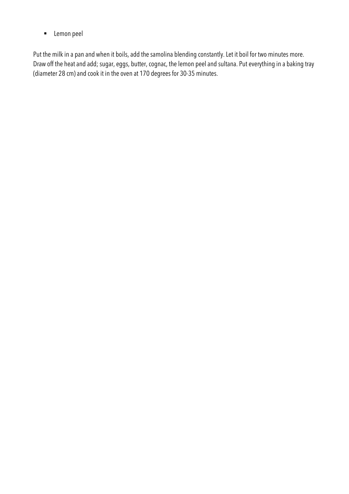**E** Lemon peel

Put the milk in a pan and when it boils, add the samolina blending constantly. Let it boil for two minutes more. Draw off the heat and add; sugar, eggs, butter, cognac, the lemon peel and sultana. Put everything in a baking tray (diameter 28 cm) and cook it in the oven at 170 degrees for 30-35 minutes.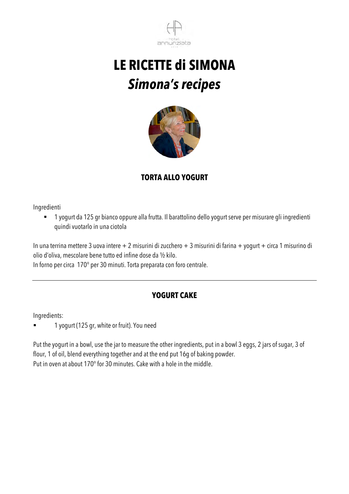



### **TORTA ALLO YOGURT**

Ingredienti

! 1 yogurt da 125 gr bianco oppure alla frutta. Il barattolino dello yogurt serve per misurare gli ingredienti quindi vuotarlo in una ciotola

In una terrina mettere 3 uova intere + 2 misurini di zucchero + 3 misurini di farina + yogurt + circa 1 misurino di olio d'oliva, mescolare bene tutto ed infine dose da ½ kilo.

In forno per circa 170° per 30 minuti. Torta preparata con foro centrale.

### **YOGURT CAKE**

Ingredients:

! 1 yogurt (125 gr, white or fruit). You need

Put the yogurt in a bowl, use the jar to measure the other ingredients, put in a bowl 3 eggs, 2 jars of sugar, 3 of flour, 1 of oil, blend everything together and at the end put 16g of baking powder. Put in oven at about 170° for 30 minutes. Cake with a hole in the middle.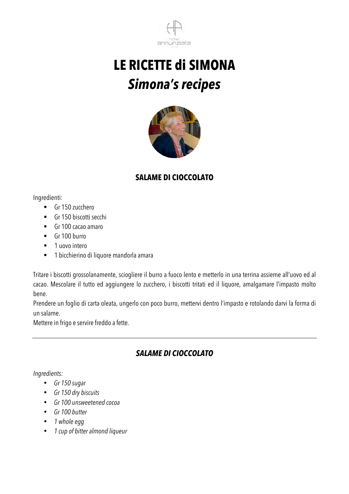



### **SALAME DI CIOCCOLATO**

Ingredienti:

- Gr 150 zucchero
- Gr 150 biscotti secchi
- ! Gr 100 cacao amaro
- $\blacksquare$  Gr 100 burro
- 1 uovo intero
- **1** bicchierino di liquore mandorla amara

Tritare i biscotti grossolanamente, sciogliere il burro a fuoco lento e metterlo in una terrina assieme all'uovo ed al cacao. Mescolare il tutto ed aggiungere lo zucchero, i biscotti tritati ed il liquore, amalgamare l'impasto molto bene.

Prendere un foglio di carta oleata, ungerlo con poco burro, mettervi dentro l'impasto e rotolando darvi la forma di un salame.

Mettere in frigo e servire freddo a fette.

### *SALAME DI CIOCCOLATO*

#### *Ingredients:*

- *Gr 150 sugar*
- *Gr 150 dry biscuits*
- *Gr 100 unsweetened cocoa*
- *Gr 100 butter*
- *1 whole egg*
- *1 cup of bitter almond liqueur*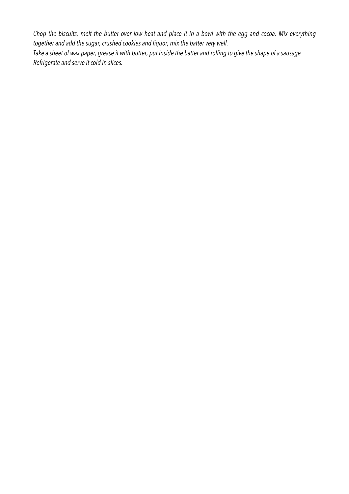*Chop the biscuits, melt the butter over low heat and place it in a bowl with the egg and cocoa. Mix everything together and add the sugar, crushed cookies and liquor, mix the batter very well. Take a sheet of wax paper, grease it with butter, put inside the batter and rolling to give the shape of a sausage. Refrigerate and serve it cold in slices.*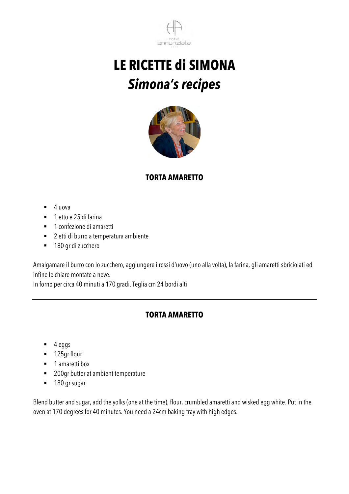



### **TORTA AMARETTO**

- $\blacksquare$  4 uova
- 1 etto e 25 di farina
- **1** confezione di amaretti
- ! 2 etti di burro a temperatura ambiente
- $\blacksquare$  180 gr di zucchero

Amalgamare il burro con lo zucchero, aggiungere i rossi d'uovo (uno alla volta), la farina, gli amaretti sbriciolati ed infine le chiare montate a neve.

In forno per circa 40 minuti a 170 gradi. Teglia cm 24 bordi alti

#### **TORTA AMARETTO**

- $\blacksquare$  4 eggs
- 125gr flour
- **1** amaretti box
- 200gr butter at ambient temperature
- **180 gr sugar**

Blend butter and sugar, add the yolks (one at the time), flour, crumbled amaretti and wisked egg white. Put in the oven at 170 degrees for 40 minutes. You need a 24cm baking tray with high edges.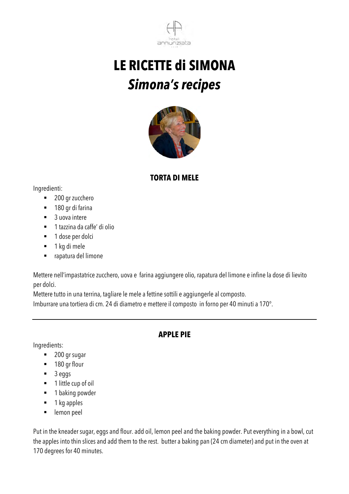



#### **TORTA DI MELE**

Ingredienti:

- 200 gr zucchero
- 180 gr di farina
- 3 uova intere
- ! 1 tazzina da caffe' di olio
- $\blacksquare$  1 dose per dolci
- 1 kg di mele
- ! rapatura del limone

Mettere nell'impastatrice zucchero, uova e farina aggiungere olio, rapatura del limone e infine la dose di lievito per dolci.

Mettere tutto in una terrina, tagliare le mele a fettine sottili e aggiungerle al composto.

Imburrare una tortiera di cm. 24 di diametro e mettere il composto in forno per 40 minuti a 170°.

#### **APPLE PIE**

Ingredients:

- 200 gr sugar
- 180 gr flour
- ! 3 eggs
- 1 little cup of oil
- **1** baking powder
- $\blacksquare$  1 kg apples
- **EXECUTE:** lemon peel

Put in the kneader sugar, eggs and flour. add oil, lemon peel and the baking powder. Put everything in a bowl, cut the apples into thin slices and add them to the rest. butter a baking pan (24 cm diameter) and put in the oven at 170 degrees for 40 minutes.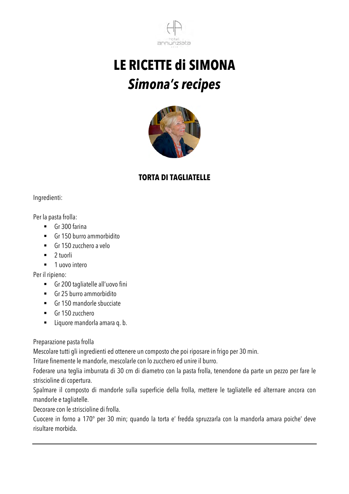



#### **TORTA DI TAGLIATELLE**

Ingredienti:

Per la pasta frolla:

- $\blacksquare$  Gr 300 farina
- $\blacksquare$  Gr 150 burro ammorbidito
- $\blacksquare$  Gr 150 zucchero a velo
- $\blacksquare$  2 tuorli
- 1 uovo intero

Per il ripieno:

- ! Gr 200 tagliatelle all'uovo fini
- $\blacksquare$  Gr 25 burro ammorbidito
- **EXECUTE:** Gr 150 mandorle sbucciate
- Gr 150 zucchero
- **Example 1** Liquore mandorla amara q. b.

Preparazione pasta frolla

Mescolare tutti gli ingredienti ed ottenere un composto che poi riposare in frigo per 30 min.

Tritare finemente le mandorle, mescolarle con lo zucchero ed unire il burro.

Foderare una teglia imburrata di 30 cm di diametro con la pasta frolla, tenendone da parte un pezzo per fare le striscioline di copertura.

Spalmare il composto di mandorle sulla superficie della frolla, mettere le tagliatelle ed alternare ancora con mandorle e tagliatelle.

Decorare con le striscioline di frolla.

Cuocere in forno a 170° per 30 min; quando la torta e' fredda spruzzarla con la mandorla amara poiche' deve risultare morbida.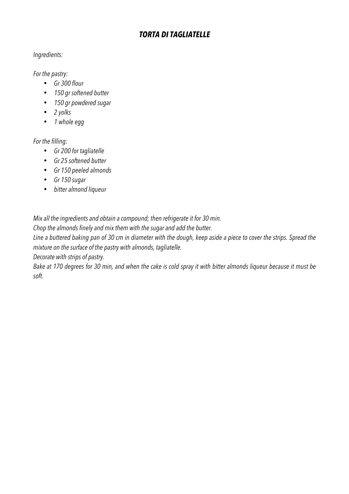#### *TORTA DI TAGLIATELLE*

#### *Ingredients:*

*For the pastry:*

- *Gr 300 flour*
- *150 gr softened butter*
- *150 gr powdered sugar*
- *2 yolks*
- *1 whole egg*

#### *For the filling:*

- *Gr 200 for tagliatelle*
- *Gr 25 softened butter*
- *Gr 150 peeled almonds*
- *Gr 150 sugar*
- *bitter almond liqueur*

*Mix all the ingredients and obtain a compound; then refrigerate it for 30 min.*

*Chop the almonds finely and mix them with the sugar and add the butter.*

*Line a buttered baking pan of 30 cm in diameter with the dough, keep aside a piece to cover the strips. Spread the mixture on the surface of the pastry with almonds, tagliatelle.*

*Decorate with strips of pastry.*

*Bake at 170 degrees for 30 min, and when the cake is cold spray it with bitter almonds liqueur because it must be soft.*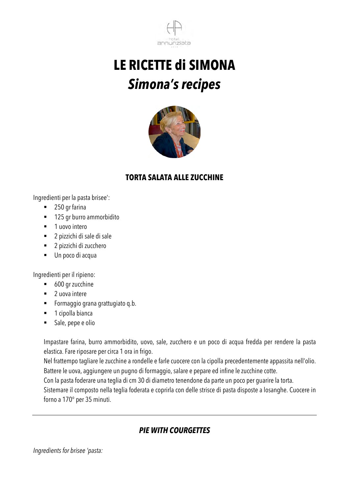



#### **TORTA SALATA ALLE ZUCCHINE**

Ingredienti per la pasta brisee':

- 250 gr farina
- 125 gr burro ammorbidito
- 1 uovo intero
- ! 2 pizzichi di sale di sale
- 2 pizzichi di zucchero
- ! Un poco di acqua

Ingredienti per il ripieno:

- 600 gr zucchine
- $\blacksquare$  2 uova intere
- ! Formaggio grana grattugiato q.b.
- **1** cipolla bianca
- ! Sale, pepe e olio

Impastare farina, burro ammorbidito, uovo, sale, zucchero e un poco di acqua fredda per rendere la pasta elastica. Fare riposare per circa 1 ora in frigo.

Nel frattempo tagliare le zucchine a rondelle e farle cuocere con la cipolla precedentemente appassita nell'olio. Battere le uova, aggiungere un pugno di formaggio, salare e pepare ed infine le zucchine cotte.

Con la pasta foderare una teglia di cm 30 di diametro tenendone da parte un poco per guarire la torta.

Sistemare il composto nella teglia foderata e coprirla con delle strisce di pasta disposte a losanghe. Cuocere in forno a 170° per 35 minuti.

### *PIE WITH COURGETTES*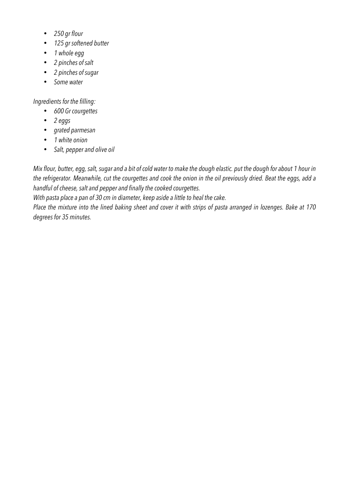- *250 gr flour*
- *125 gr softened butter*
- *1 whole egg*
- *2 pinches of salt*
- *2 pinches of sugar*
- *Some water*

#### *Ingredients for the filling:*

- *600 Gr courgettes*
- *2 eggs*
- *grated parmesan*
- *1 white onion*
- *Salt, pepper and olive oil*

*Mix flour, butter, egg, salt, sugar and a bit of cold water to make the dough elastic. put the dough for about 1 hour in the refrigerator. Meanwhile, cut the courgettes and cook the onion in the oil previously dried. Beat the eggs, add a handful of cheese, salt and pepper and finally the cooked courgettes.*

*With pasta place a pan of 30 cm in diameter, keep aside a little to heal the cake.*

*Place the mixture into the lined baking sheet and cover it with strips of pasta arranged in lozenges. Bake at 170 degrees for 35 minutes.*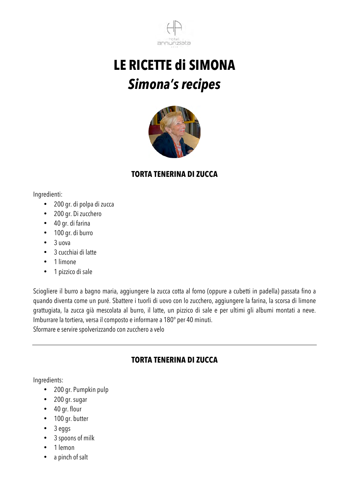



#### **TORTA TENERINA DI ZUCCA**

Ingredienti:

- 200 gr. di polpa di zucca
- 200 gr. Di zucchero
- 40 gr. di farina
- 100 gr. di burro
- $\bullet$  3 uova
- 3 cucchiai di latte
- 1 limone
- 1 pizzico di sale

Sciogliere il burro a bagno maria, aggiungere la zucca cotta al forno (oppure a cubetti in padella) passata fino a quando diventa come un puré. Sbattere i tuorli di uovo con lo zucchero, aggiungere la farina, la scorsa di limone grattugiata, la zucca già mescolata al burro, il latte, un pizzico di sale e per ultimi gli albumi montati a neve. Imburrare la tortiera, versa il composto e informare a 180° per 40 minuti. Sformare e servire spolverizzando con zucchero a velo

#### **TORTA TENERINA DI ZUCCA**

Ingredients:

- 200 gr. Pumpkin pulp
- 200 gr. sugar
- 40 gr. flour
- 100 gr. butter
- 3 eggs
- 3 spoons of milk
- 1 lemon
- a pinch of salt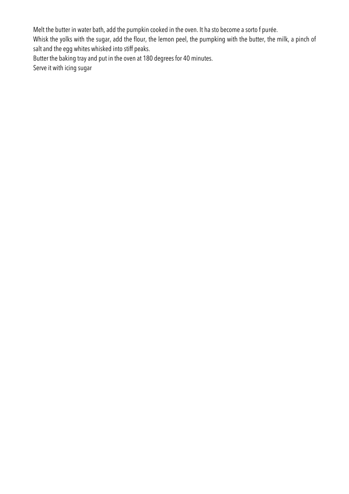Melt the butter in water bath, add the pumpkin cooked in the oven. It ha sto become a sorto f purée.

Whisk the yolks with the sugar, add the flour, the lemon peel, the pumpking with the butter, the milk, a pinch of salt and the egg whites whisked into stiff peaks.

Butter the baking tray and put in the oven at 180 degrees for 40 minutes.

Serve it with icing sugar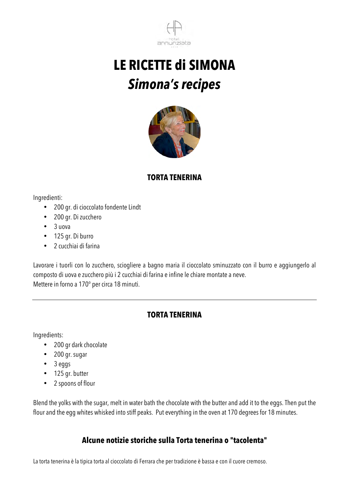



#### **TORTA TENERINA**

Ingredienti:

- 200 gr. di cioccolato fondente Lindt
- 200 gr. Di zucchero
- 3 uova
- 125 gr. Di burro
- 2 cucchiai di farina

Lavorare i tuorli con lo zucchero, sciogliere a bagno maria il cioccolato sminuzzato con il burro e aggiungerlo al composto di uova e zucchero più i 2 cucchiai di farina e infine le chiare montate a neve. Mettere in forno a 170° per circa 18 minuti.

#### **TORTA TENERINA**

Ingredients:

- 200 gr dark chocolate
- 200 gr. sugar
- 3 eggs
- 125 gr. butter
- 2 spoons of flour

Blend the yolks with the sugar, melt in water bath the chocolate with the butter and add it to the eggs. Then put the flour and the egg whites whisked into stiff peaks. Put everything in the oven at 170 degrees for 18 minutes.

#### **Alcune notizie storiche sulla Torta tenerina o "tacolenta"**

La torta tenerina è la tipica torta al cioccolato di Ferrara che per tradizione è bassa e con il cuore cremoso.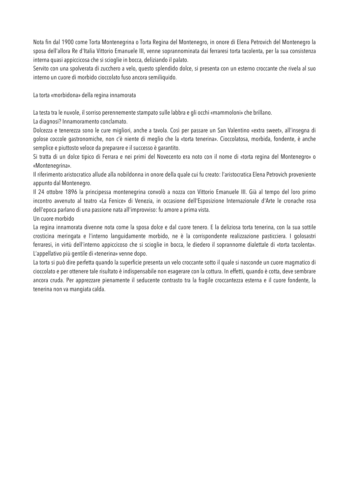Nota fin dal 1900 come Torta Montenegrina o Torta Regina del Montenegro, in onore di Elena Petrovich del Montenegro la sposa dell'allora Re d'Italia Vittorio Emanuele III, venne soprannominata dai ferraresi torta tacolenta, per la sua consistenza interna quasi appiccicosa che si scioglie in bocca, deliziando il palato.

Servito con una spolverata di zucchero a velo, questo splendido dolce, si presenta con un esterno croccante che rivela al suo interno un cuore di morbido cioccolato fuso ancora semiliquido.

La torta «morbidona» della regina innamorata

La testa tra le nuvole, il sorriso perennemente stampato sulle labbra e gli occhi «mammoloni» che brillano.

La diagnosi? Innamoramento conclamato.

Dolcezza e tenerezza sono le cure migliori, anche a tavola. Così per passare un San Valentino «extra sweet», all'insegna di golose coccole gastronomiche, non c'è niente di meglio che la «torta tenerina». Cioccolatosa, morbida, fondente, è anche semplice e piuttosto veloce da preparare e il successo è garantito.

Si tratta di un dolce tipico di Ferrara e nei primi del Novecento era noto con il nome di «torta regina del Montenegro» o «Montenegrina».

Il riferimento aristocratico allude alla nobildonna in onore della quale cui fu creato: l'aristocratica Elena Petrovich proveniente appunto dal Montenegro.

Il 24 ottobre 1896 la principessa montenegrina convolò a nozza con Vittorio Emanuele III. Già al tempo del loro primo incontro avvenuto al teatro «La Fenice» di Venezia, in occasione dell'Esposizione Internazionale d'Arte le cronache rosa dell'epoca parlano di una passione nata all'improvviso: fu amore a prima vista.

Un cuore morbido

La regina innamorata divenne nota come la sposa dolce e dal cuore tenero. E la deliziosa torta tenerina, con la sua sottile crosticina meringata e l'interno languidamente morbido, ne è la corrispondente realizzazione pasticciera. I golosastri ferraresi, in virtù dell'interno appiccicoso che si scioglie in bocca, le diedero il soprannome dialettale di «torta tacolenta». L'appellativo più gentile di «tenerina» venne dopo.

La torta si può dire perfetta quando la superficie presenta un velo croccante sotto il quale si nasconde un cuore magmatico di cioccolato e per ottenere tale risultato è indispensabile non esagerare con la cottura. In effetti, quando è cotta, deve sembrare ancora cruda. Per apprezzare pienamente il seducente contrasto tra la fragile croccantezza esterna e il cuore fondente, la tenerina non va mangiata calda.